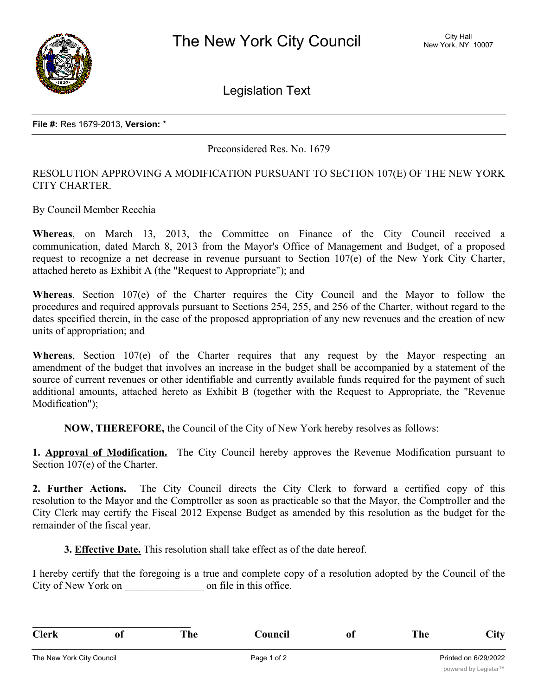

Legislation Text

Preconsidered Res. No. 1679

## RESOLUTION APPROVING A MODIFICATION PURSUANT TO SECTION 107(E) OF THE NEW YORK CITY CHARTER.

By Council Member Recchia

**Whereas**, on March 13, 2013, the Committee on Finance of the City Council received a communication, dated March 8, 2013 from the Mayor's Office of Management and Budget, of a proposed request to recognize a net decrease in revenue pursuant to Section 107(e) of the New York City Charter, attached hereto as Exhibit A (the "Request to Appropriate"); and

**Whereas**, Section 107(e) of the Charter requires the City Council and the Mayor to follow the procedures and required approvals pursuant to Sections 254, 255, and 256 of the Charter, without regard to the dates specified therein, in the case of the proposed appropriation of any new revenues and the creation of new units of appropriation; and

**Whereas**, Section 107(e) of the Charter requires that any request by the Mayor respecting an amendment of the budget that involves an increase in the budget shall be accompanied by a statement of the source of current revenues or other identifiable and currently available funds required for the payment of such additional amounts, attached hereto as Exhibit B (together with the Request to Appropriate, the "Revenue Modification");

**NOW, THEREFORE,** the Council of the City of New York hereby resolves as follows:

**1. Approval of Modification.** The City Council hereby approves the Revenue Modification pursuant to Section 107(e) of the Charter.

**2. Further Actions.** The City Council directs the City Clerk to forward a certified copy of this resolution to the Mayor and the Comptroller as soon as practicable so that the Mayor, the Comptroller and the City Clerk may certify the Fiscal 2012 Expense Budget as amended by this resolution as the budget for the remainder of the fiscal year.

**3. Effective Date.** This resolution shall take effect as of the date hereof.

I hereby certify that the foregoing is a true and complete copy of a resolution adopted by the Council of the City of New York on  $\Box$  on file in this office.